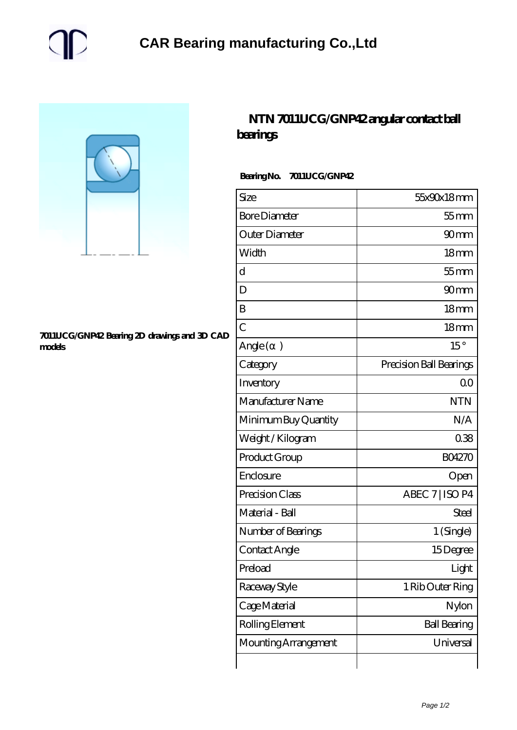



## **[7011UCG/GNP42 Bearing 2D drawings and 3D CAD](https://m.gmgyb.com/pic-48775.html) [models](https://m.gmgyb.com/pic-48775.html)**

## **[NTN 7011UCG/GNP42 angular contact ball](https://m.gmgyb.com/am-48775-ntn-7011ucg-gnp42-angular-contact-ball-bearings.html) [bearings](https://m.gmgyb.com/am-48775-ntn-7011ucg-gnp42-angular-contact-ball-bearings.html)**

## **Bearing No. 7011UCG/GNP42**

| Size                 | 55x90x18mm              |
|----------------------|-------------------------|
| <b>Bore Diameter</b> | $55$ mm                 |
| Outer Diameter       | 90 <sub>mm</sub>        |
| Width                | 18 <sub>mm</sub>        |
| d                    | $55$ mm                 |
| D                    | 90 <sub>mm</sub>        |
| B                    | 18 <sub>mm</sub>        |
| $\overline{C}$       | 18 <sub>mm</sub>        |
| Angle()              | $15^{\circ}$            |
| Category             | Precision Ball Bearings |
| Inventory            | 0 <sup>0</sup>          |
| Manufacturer Name    | <b>NTN</b>              |
| Minimum Buy Quantity | N/A                     |
| Weight / Kilogram    | 038                     |
| Product Group        | <b>BO4270</b>           |
| Enclosure            | Open                    |
| Precision Class      | ABEC 7   ISO P4         |
| Material - Ball      | Steel                   |
| Number of Bearings   | 1 (Single)              |
| Contact Angle        | 15Degree                |
| Preload              | Light                   |
| Raceway Style        | 1 Rib Outer Ring        |
| Cage Material        | Nylon                   |
| Rolling Element      | <b>Ball Bearing</b>     |
| Mounting Arrangement | Universal               |
|                      |                         |